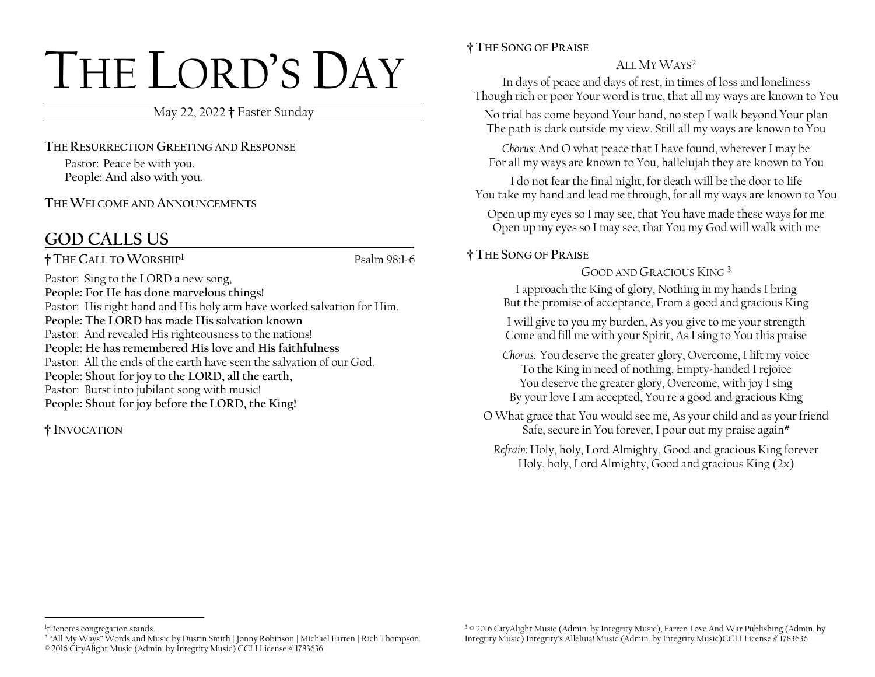# THE LORD'S DAY

May 22, 2022 **†** Easter Sunday

**THE RESURRECTION GREETING AND RESPONSE** Pastor: Peace be with you.

**People: And also with you.** 

**THE WELCOME AND ANNOUNCEMENTS**

# **GOD CALLS US \_**

**† THE CALL TO WORSHIP<sup>1</sup>**

Psalm 98:1-6

Pastor: Sing to the LORD a new song, **People: For He has done marvelous things!**  Pastor: His right hand and His holy arm have worked salvation for Him. **People: The LORD has made His salvation known** Pastor: And revealed His righteousness to the nations! **People: He has remembered His love and His faithfulness**  Pastor: All the ends of the earth have seen the salvation of our God. **People: Shout for joy to the LORD, all the earth,** Pastor: Burst into jubilant song with music! **People: Shout for joy before the LORD, the King!**

#### **† INVOCATION**

#### **† THE SONG OF PRAISE**

#### ALL MY WAYS<sup>2</sup>

In days of peace and days of rest, in times of loss and loneliness Though rich or poor Your word is true, that all my ways are known to You

No trial has come beyond Your hand, no step I walk beyond Your plan The path is dark outside my view, Still all my ways are known to You

*Chorus:* And O what peace that I have found, wherever I may be For all my ways are known to You, hallelujah they are known to You

I do not fear the final night, for death will be the door to life You take my hand and lead me through, for all my ways are known to You

Open up my eyes so I may see, that You have made these ways for me Open up my eyes so I may see, that You my God will walk with me

#### **† THE SONG OF PRAISE**

#### GOOD AND GRACIOUS KING<sup>3</sup>

I approach the King of glory, Nothing in my hands I bring But the promise of acceptance, From a good and gracious King

I will give to you my burden, As you give to me your strength Come and fill me with your Spirit, As I sing to You this praise

*Chorus:* You deserve the greater glory, Overcome, I lift my voice To the King in need of nothing, Empty-handed I rejoice You deserve the greater glory, Overcome, with joy I sing By your love I am accepted, You're a good and gracious King

O What grace that You would see me, As your child and as your friend Safe, secure in You forever, I pour out my praise again\*

*Refrain:* Holy, holy, Lord Almighty, Good and gracious King forever Holy, holy, Lord Almighty, Good and gracious King (2x)

<sup>1</sup> †Denotes congregation stands.

<sup>2</sup> "All My Ways" Words and Music by Dustin Smith | Jonny Robinson | Michael Farren | Rich Thompson.

<sup>© 2016</sup> CityAlight Music (Admin. by Integrity Music) CCLI License # 1783636

<sup>3</sup> © 2016 CityAlight Music (Admin. by Integrity Music), Farren Love And War Publishing (Admin. by Integrity Music) Integrity's Alleluia! Music (Admin. by Integrity Music)CCLI License # 1783636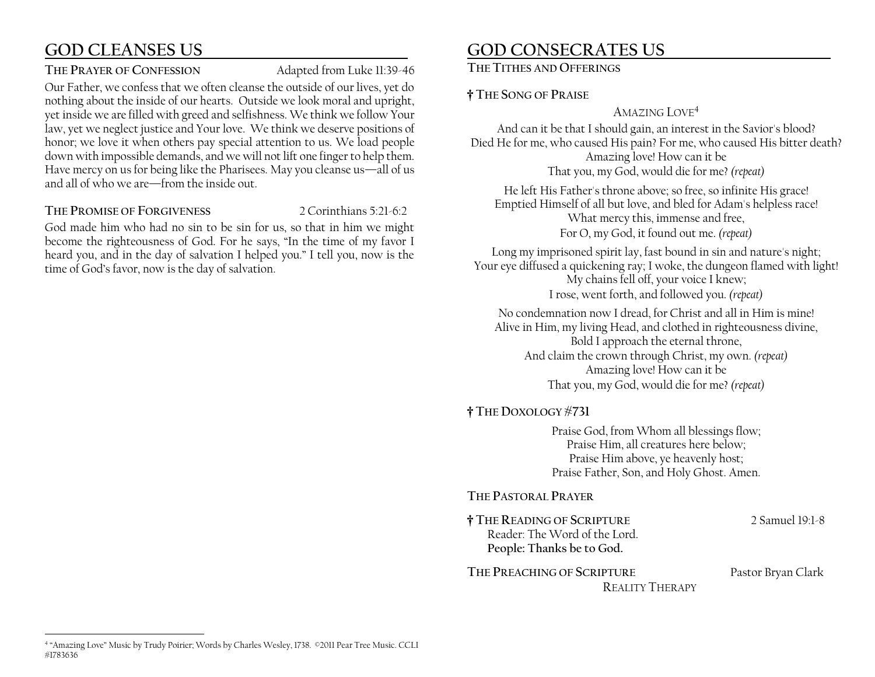## **GOD CLEANSES US \_\_\_\_\_\_\_\_\_\_\_\_\_\_\_\_\_\_\_\_\_\_\_**

#### **THE PRAYER OF CONFESSION** Adapted from Luke 11:39-46

Our Father, we confess that we often cleanse the outside of our lives, yet do nothing about the inside of our hearts. Outside we look moral and upright, yet inside we are filled with greed and selfishness. We think we follow Your law, yet we neglect justice and Your love. We think we deserve positions of honor; we love it when others pay special attention to us. We load people down with impossible demands, and we will not lift one finger to help them. Have mercy on us for being like the Pharisees. May you cleanse us—all of us and all of who we are—from the inside out.

#### **THE PROMISE OF FORGIVENESS** 2 Corinthians 5:21-6:2

God made him who had no sin to be sin for us, so that in him we might become the righteousness of God. For he says, "In the time of my favor I heard you, and in the day of salvation I helped you." I tell you, now is the time of God's favor, now is the day of salvation.

## **GOD CONSECRATES US** \_

**THE TITHES AND OFFERINGS**

## **† THE SONG OF PRAISE**

## AMAZING LOVE<sup>4</sup>

And can it be that I should gain, an interest in the Savior's blood? Died He for me, who caused His pain? For me, who caused His bitter death? Amazing love! How can it be That you, my God, would die for me? *(repeat)*

He left His Father's throne above; so free, so infinite His grace! Emptied Himself of all but love, and bled for Adam's helpless race! What mercy this, immense and free, For O, my God, it found out me. *(repeat)*

Long my imprisoned spirit lay, fast bound in sin and nature's night; Your eye diffused a quickening ray; I woke, the dungeon flamed with light! My chains fell off, your voice I knew; I rose, went forth, and followed you. *(repeat)*

No condemnation now I dread, for Christ and all in Him is mine! Alive in Him, my living Head, and clothed in righteousness divine, Bold I approach the eternal throne, And claim the crown through Christ, my own. *(repeat)* Amazing love! How can it be That you, my God, would die for me? *(repeat)*

## **† THE DOXOLOGY #731**

Praise God, from Whom all blessings flow; Praise Him, all creatures here below; Praise Him above, ye heavenly host; Praise Father, Son, and Holy Ghost. Amen.

#### **THE PASTORAL PRAYER**

**† THE READING OF SCRIPTURE** 2 Samuel 19:1-8 Reader: The Word of the Lord. **People: Thanks be to God.** 

**THE PREACHING OF SCRIPTURE** Pastor Bryan Clark

REALITY THERAPY

<sup>4</sup> "Amazing Love" Music by Trudy Poirier; Words by Charles Wesley, 1738. ©2011 Pear Tree Music. CCLI #1783636